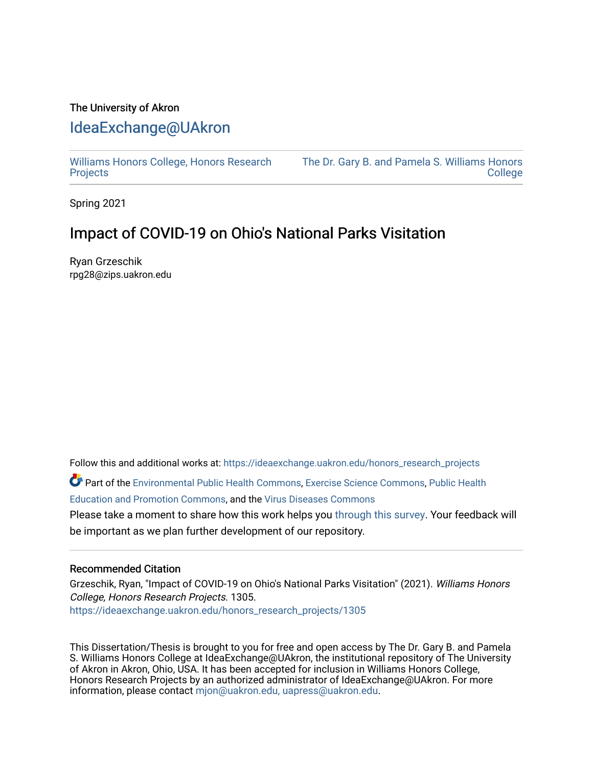## The University of Akron [IdeaExchange@UAkron](https://ideaexchange.uakron.edu/)

[Williams Honors College, Honors Research](https://ideaexchange.uakron.edu/honors_research_projects)  **[Projects](https://ideaexchange.uakron.edu/honors_research_projects)** 

[The Dr. Gary B. and Pamela S. Williams Honors](https://ideaexchange.uakron.edu/honorscollege_ideas)  **College** 

Spring 2021

# Impact of COVID-19 on Ohio's National Parks Visitation

Ryan Grzeschik rpg28@zips.uakron.edu

Follow this and additional works at: [https://ideaexchange.uakron.edu/honors\\_research\\_projects](https://ideaexchange.uakron.edu/honors_research_projects?utm_source=ideaexchange.uakron.edu%2Fhonors_research_projects%2F1305&utm_medium=PDF&utm_campaign=PDFCoverPages) 

Part of the [Environmental Public Health Commons](http://network.bepress.com/hgg/discipline/739?utm_source=ideaexchange.uakron.edu%2Fhonors_research_projects%2F1305&utm_medium=PDF&utm_campaign=PDFCoverPages), [Exercise Science Commons,](http://network.bepress.com/hgg/discipline/1091?utm_source=ideaexchange.uakron.edu%2Fhonors_research_projects%2F1305&utm_medium=PDF&utm_campaign=PDFCoverPages) [Public Health](http://network.bepress.com/hgg/discipline/743?utm_source=ideaexchange.uakron.edu%2Fhonors_research_projects%2F1305&utm_medium=PDF&utm_campaign=PDFCoverPages) [Education and Promotion Commons](http://network.bepress.com/hgg/discipline/743?utm_source=ideaexchange.uakron.edu%2Fhonors_research_projects%2F1305&utm_medium=PDF&utm_campaign=PDFCoverPages), and the [Virus Diseases Commons](http://network.bepress.com/hgg/discipline/998?utm_source=ideaexchange.uakron.edu%2Fhonors_research_projects%2F1305&utm_medium=PDF&utm_campaign=PDFCoverPages) 

Please take a moment to share how this work helps you [through this survey](http://survey.az1.qualtrics.com/SE/?SID=SV_eEVH54oiCbOw05f&URL=https://ideaexchange.uakron.edu/honors_research_projects/1305). Your feedback will be important as we plan further development of our repository.

#### Recommended Citation

Grzeschik, Ryan, "Impact of COVID-19 on Ohio's National Parks Visitation" (2021). Williams Honors College, Honors Research Projects. 1305. [https://ideaexchange.uakron.edu/honors\\_research\\_projects/1305](https://ideaexchange.uakron.edu/honors_research_projects/1305?utm_source=ideaexchange.uakron.edu%2Fhonors_research_projects%2F1305&utm_medium=PDF&utm_campaign=PDFCoverPages) 

This Dissertation/Thesis is brought to you for free and open access by The Dr. Gary B. and Pamela S. Williams Honors College at IdeaExchange@UAkron, the institutional repository of The University of Akron in Akron, Ohio, USA. It has been accepted for inclusion in Williams Honors College, Honors Research Projects by an authorized administrator of IdeaExchange@UAkron. For more information, please contact [mjon@uakron.edu, uapress@uakron.edu.](mailto:mjon@uakron.edu,%20uapress@uakron.edu)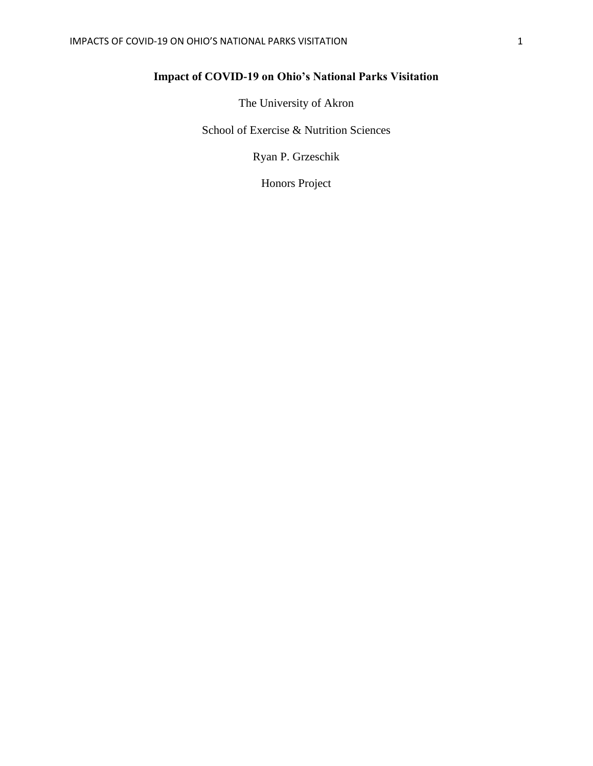## **Impact of COVID-19 on Ohio's National Parks Visitation**

The University of Akron

School of Exercise & Nutrition Sciences

Ryan P. Grzeschik

Honors Project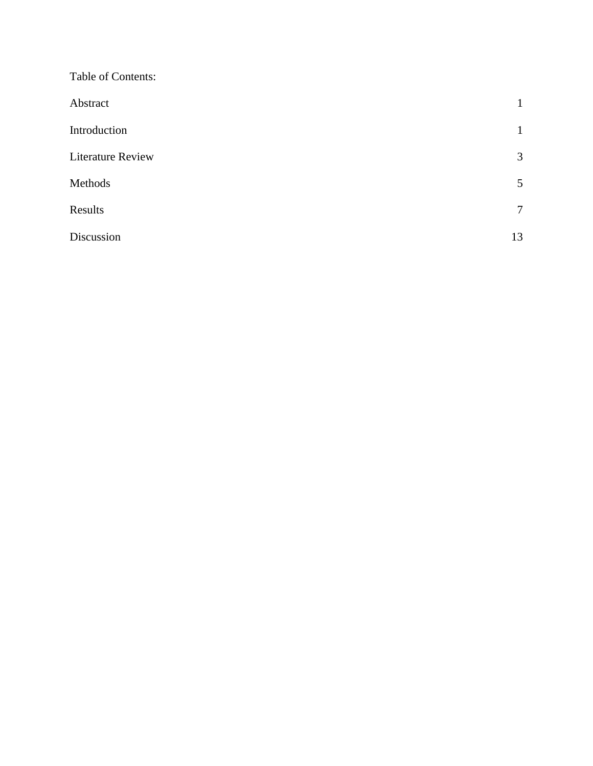| Table of Contents:       |                |
|--------------------------|----------------|
| Abstract                 | $\mathbf{1}$   |
| Introduction             | $\mathbf{1}$   |
| <b>Literature Review</b> | 3              |
| Methods                  | 5              |
| Results                  | $\overline{7}$ |
| Discussion               | 13             |
|                          |                |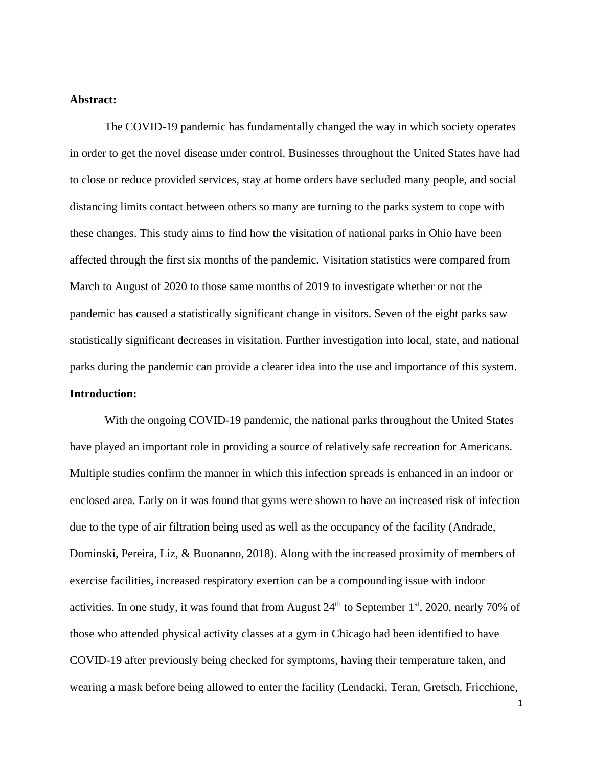#### **Abstract:**

The COVID-19 pandemic has fundamentally changed the way in which society operates in order to get the novel disease under control. Businesses throughout the United States have had to close or reduce provided services, stay at home orders have secluded many people, and social distancing limits contact between others so many are turning to the parks system to cope with these changes. This study aims to find how the visitation of national parks in Ohio have been affected through the first six months of the pandemic. Visitation statistics were compared from March to August of 2020 to those same months of 2019 to investigate whether or not the pandemic has caused a statistically significant change in visitors. Seven of the eight parks saw statistically significant decreases in visitation. Further investigation into local, state, and national parks during the pandemic can provide a clearer idea into the use and importance of this system. **Introduction:**

With the ongoing COVID-19 pandemic, the national parks throughout the United States have played an important role in providing a source of relatively safe recreation for Americans. Multiple studies confirm the manner in which this infection spreads is enhanced in an indoor or enclosed area. Early on it was found that gyms were shown to have an increased risk of infection due to the type of air filtration being used as well as the occupancy of the facility (Andrade, Dominski, Pereira, Liz, & Buonanno, 2018). Along with the increased proximity of members of exercise facilities, increased respiratory exertion can be a compounding issue with indoor activities. In one study, it was found that from August 24<sup>th</sup> to September 1<sup>st</sup>, 2020, nearly 70% of those who attended physical activity classes at a gym in Chicago had been identified to have COVID-19 after previously being checked for symptoms, having their temperature taken, and wearing a mask before being allowed to enter the facility (Lendacki, Teran, Gretsch, Fricchione,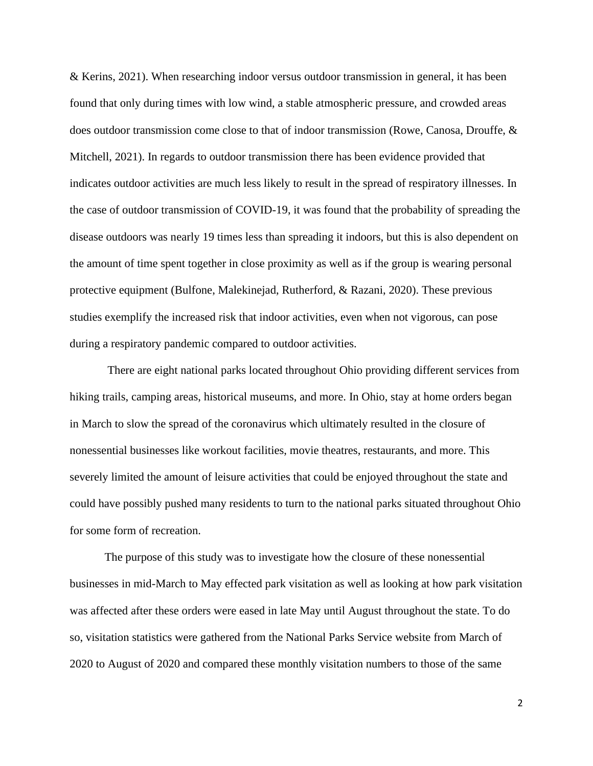& Kerins, 2021). When researching indoor versus outdoor transmission in general, it has been found that only during times with low wind, a stable atmospheric pressure, and crowded areas does outdoor transmission come close to that of indoor transmission (Rowe, Canosa, Drouffe, & Mitchell, 2021). In regards to outdoor transmission there has been evidence provided that indicates outdoor activities are much less likely to result in the spread of respiratory illnesses. In the case of outdoor transmission of COVID-19, it was found that the probability of spreading the disease outdoors was nearly 19 times less than spreading it indoors, but this is also dependent on the amount of time spent together in close proximity as well as if the group is wearing personal protective equipment (Bulfone, Malekinejad, Rutherford, & Razani, 2020). These previous studies exemplify the increased risk that indoor activities, even when not vigorous, can pose during a respiratory pandemic compared to outdoor activities.

There are eight national parks located throughout Ohio providing different services from hiking trails, camping areas, historical museums, and more. In Ohio, stay at home orders began in March to slow the spread of the coronavirus which ultimately resulted in the closure of nonessential businesses like workout facilities, movie theatres, restaurants, and more. This severely limited the amount of leisure activities that could be enjoyed throughout the state and could have possibly pushed many residents to turn to the national parks situated throughout Ohio for some form of recreation.

The purpose of this study was to investigate how the closure of these nonessential businesses in mid-March to May effected park visitation as well as looking at how park visitation was affected after these orders were eased in late May until August throughout the state. To do so, visitation statistics were gathered from the National Parks Service website from March of 2020 to August of 2020 and compared these monthly visitation numbers to those of the same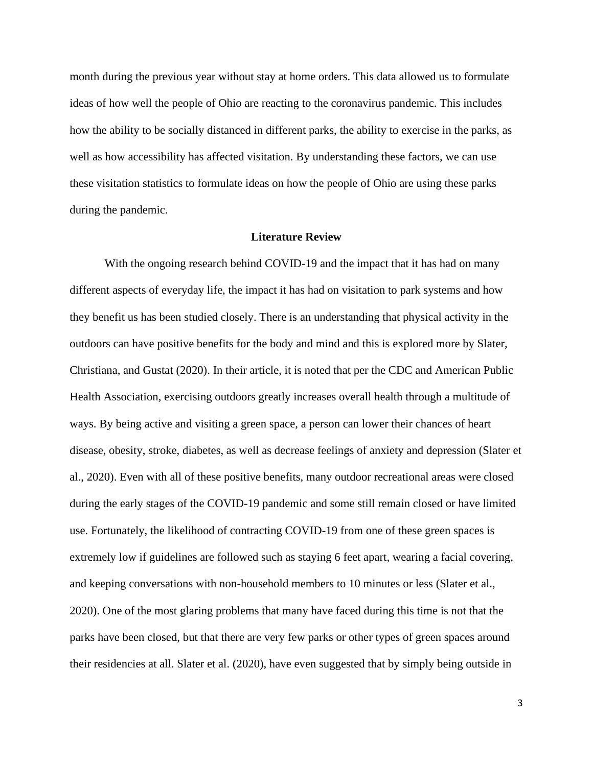month during the previous year without stay at home orders. This data allowed us to formulate ideas of how well the people of Ohio are reacting to the coronavirus pandemic. This includes how the ability to be socially distanced in different parks, the ability to exercise in the parks, as well as how accessibility has affected visitation. By understanding these factors, we can use these visitation statistics to formulate ideas on how the people of Ohio are using these parks during the pandemic.

#### **Literature Review**

With the ongoing research behind COVID-19 and the impact that it has had on many different aspects of everyday life, the impact it has had on visitation to park systems and how they benefit us has been studied closely. There is an understanding that physical activity in the outdoors can have positive benefits for the body and mind and this is explored more by Slater, Christiana, and Gustat (2020). In their article, it is noted that per the CDC and American Public Health Association, exercising outdoors greatly increases overall health through a multitude of ways. By being active and visiting a green space, a person can lower their chances of heart disease, obesity, stroke, diabetes, as well as decrease feelings of anxiety and depression (Slater et al., 2020). Even with all of these positive benefits, many outdoor recreational areas were closed during the early stages of the COVID-19 pandemic and some still remain closed or have limited use. Fortunately, the likelihood of contracting COVID-19 from one of these green spaces is extremely low if guidelines are followed such as staying 6 feet apart, wearing a facial covering, and keeping conversations with non-household members to 10 minutes or less (Slater et al., 2020). One of the most glaring problems that many have faced during this time is not that the parks have been closed, but that there are very few parks or other types of green spaces around their residencies at all. Slater et al. (2020), have even suggested that by simply being outside in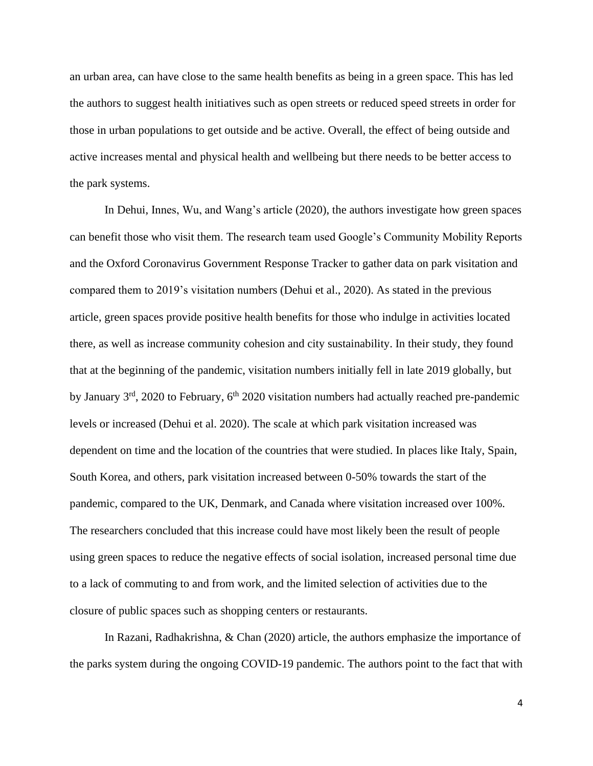an urban area, can have close to the same health benefits as being in a green space. This has led the authors to suggest health initiatives such as open streets or reduced speed streets in order for those in urban populations to get outside and be active. Overall, the effect of being outside and active increases mental and physical health and wellbeing but there needs to be better access to the park systems.

In Dehui, Innes, Wu, and Wang's article (2020), the authors investigate how green spaces can benefit those who visit them. The research team used Google's Community Mobility Reports and the Oxford Coronavirus Government Response Tracker to gather data on park visitation and compared them to 2019's visitation numbers (Dehui et al., 2020). As stated in the previous article, green spaces provide positive health benefits for those who indulge in activities located there, as well as increase community cohesion and city sustainability. In their study, they found that at the beginning of the pandemic, visitation numbers initially fell in late 2019 globally, but by January 3<sup>rd</sup>, 2020 to February, 6<sup>th</sup> 2020 visitation numbers had actually reached pre-pandemic levels or increased (Dehui et al. 2020). The scale at which park visitation increased was dependent on time and the location of the countries that were studied. In places like Italy, Spain, South Korea, and others, park visitation increased between 0-50% towards the start of the pandemic, compared to the UK, Denmark, and Canada where visitation increased over 100%. The researchers concluded that this increase could have most likely been the result of people using green spaces to reduce the negative effects of social isolation, increased personal time due to a lack of commuting to and from work, and the limited selection of activities due to the closure of public spaces such as shopping centers or restaurants.

In Razani, Radhakrishna, & Chan (2020) article, the authors emphasize the importance of the parks system during the ongoing COVID-19 pandemic. The authors point to the fact that with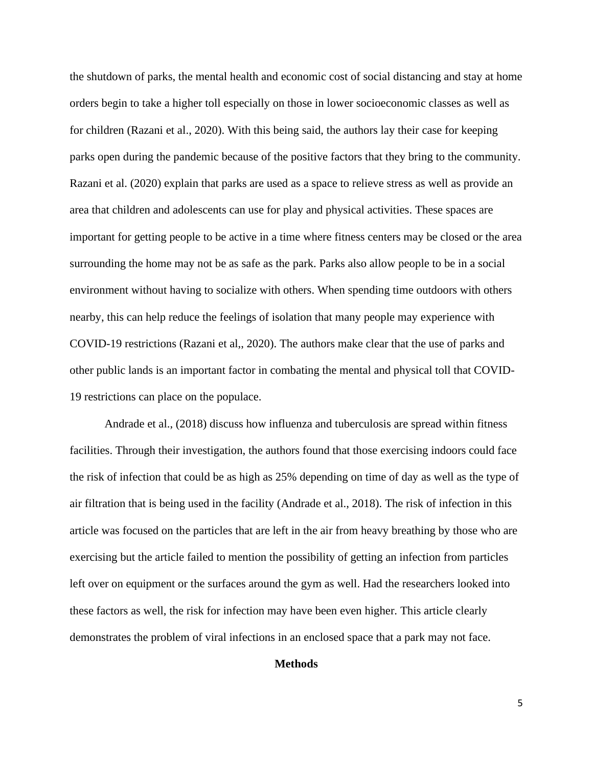the shutdown of parks, the mental health and economic cost of social distancing and stay at home orders begin to take a higher toll especially on those in lower socioeconomic classes as well as for children (Razani et al., 2020). With this being said, the authors lay their case for keeping parks open during the pandemic because of the positive factors that they bring to the community. Razani et al. (2020) explain that parks are used as a space to relieve stress as well as provide an area that children and adolescents can use for play and physical activities. These spaces are important for getting people to be active in a time where fitness centers may be closed or the area surrounding the home may not be as safe as the park. Parks also allow people to be in a social environment without having to socialize with others. When spending time outdoors with others nearby, this can help reduce the feelings of isolation that many people may experience with COVID-19 restrictions (Razani et al,, 2020). The authors make clear that the use of parks and other public lands is an important factor in combating the mental and physical toll that COVID-19 restrictions can place on the populace.

Andrade et al., (2018) discuss how influenza and tuberculosis are spread within fitness facilities. Through their investigation, the authors found that those exercising indoors could face the risk of infection that could be as high as 25% depending on time of day as well as the type of air filtration that is being used in the facility (Andrade et al., 2018). The risk of infection in this article was focused on the particles that are left in the air from heavy breathing by those who are exercising but the article failed to mention the possibility of getting an infection from particles left over on equipment or the surfaces around the gym as well. Had the researchers looked into these factors as well, the risk for infection may have been even higher. This article clearly demonstrates the problem of viral infections in an enclosed space that a park may not face.

## **Methods**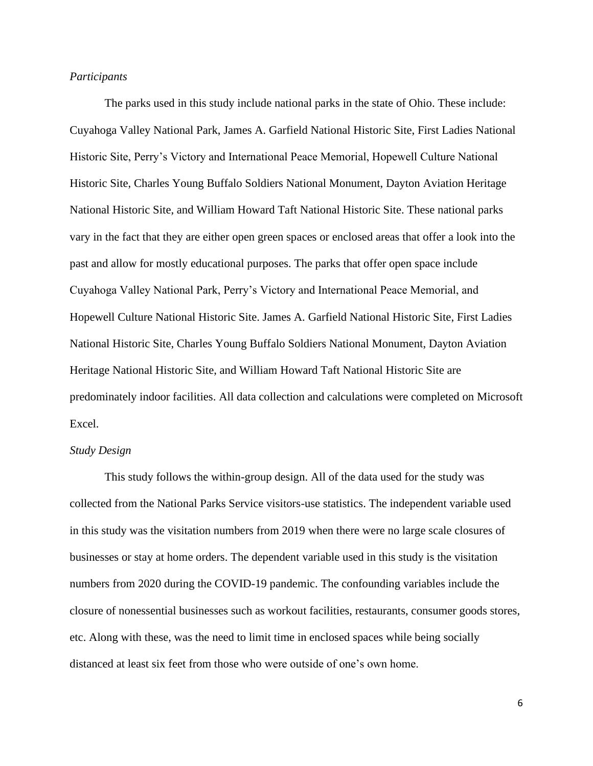#### *Participants*

The parks used in this study include national parks in the state of Ohio. These include: Cuyahoga Valley National Park, James A. Garfield National Historic Site, First Ladies National Historic Site, Perry's Victory and International Peace Memorial, Hopewell Culture National Historic Site, Charles Young Buffalo Soldiers National Monument, Dayton Aviation Heritage National Historic Site, and William Howard Taft National Historic Site. These national parks vary in the fact that they are either open green spaces or enclosed areas that offer a look into the past and allow for mostly educational purposes. The parks that offer open space include Cuyahoga Valley National Park, Perry's Victory and International Peace Memorial, and Hopewell Culture National Historic Site. James A. Garfield National Historic Site, First Ladies National Historic Site, Charles Young Buffalo Soldiers National Monument, Dayton Aviation Heritage National Historic Site, and William Howard Taft National Historic Site are predominately indoor facilities. All data collection and calculations were completed on Microsoft Excel.

#### *Study Design*

This study follows the within-group design. All of the data used for the study was collected from the National Parks Service visitors-use statistics. The independent variable used in this study was the visitation numbers from 2019 when there were no large scale closures of businesses or stay at home orders. The dependent variable used in this study is the visitation numbers from 2020 during the COVID-19 pandemic. The confounding variables include the closure of nonessential businesses such as workout facilities, restaurants, consumer goods stores, etc. Along with these, was the need to limit time in enclosed spaces while being socially distanced at least six feet from those who were outside of one's own home.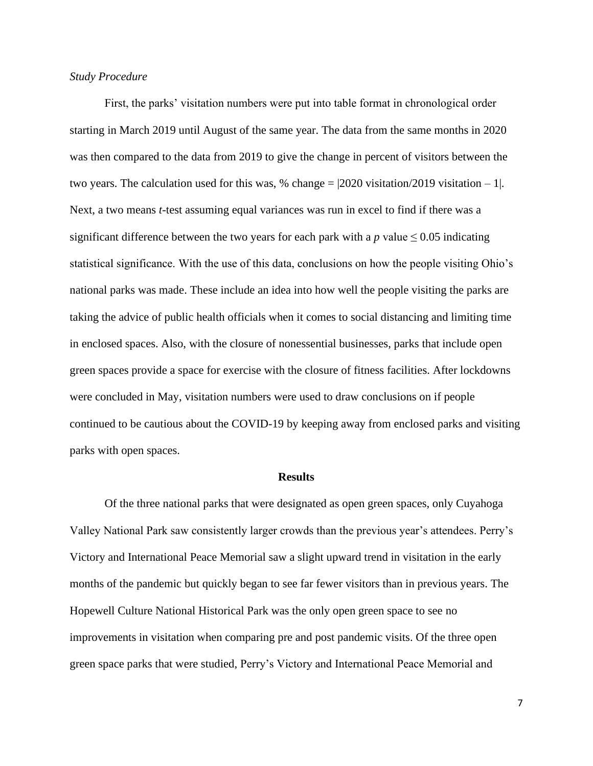#### *Study Procedure*

First, the parks' visitation numbers were put into table format in chronological order starting in March 2019 until August of the same year. The data from the same months in 2020 was then compared to the data from 2019 to give the change in percent of visitors between the two years. The calculation used for this was, % change  $= |2020$  visitation/2019 visitation  $-1$ . Next, a two means *t*-test assuming equal variances was run in excel to find if there was a significant difference between the two years for each park with a  $p$  value  $\leq 0.05$  indicating statistical significance. With the use of this data, conclusions on how the people visiting Ohio's national parks was made. These include an idea into how well the people visiting the parks are taking the advice of public health officials when it comes to social distancing and limiting time in enclosed spaces. Also, with the closure of nonessential businesses, parks that include open green spaces provide a space for exercise with the closure of fitness facilities. After lockdowns were concluded in May, visitation numbers were used to draw conclusions on if people continued to be cautious about the COVID-19 by keeping away from enclosed parks and visiting parks with open spaces.

#### **Results**

Of the three national parks that were designated as open green spaces, only Cuyahoga Valley National Park saw consistently larger crowds than the previous year's attendees. Perry's Victory and International Peace Memorial saw a slight upward trend in visitation in the early months of the pandemic but quickly began to see far fewer visitors than in previous years. The Hopewell Culture National Historical Park was the only open green space to see no improvements in visitation when comparing pre and post pandemic visits. Of the three open green space parks that were studied, Perry's Victory and International Peace Memorial and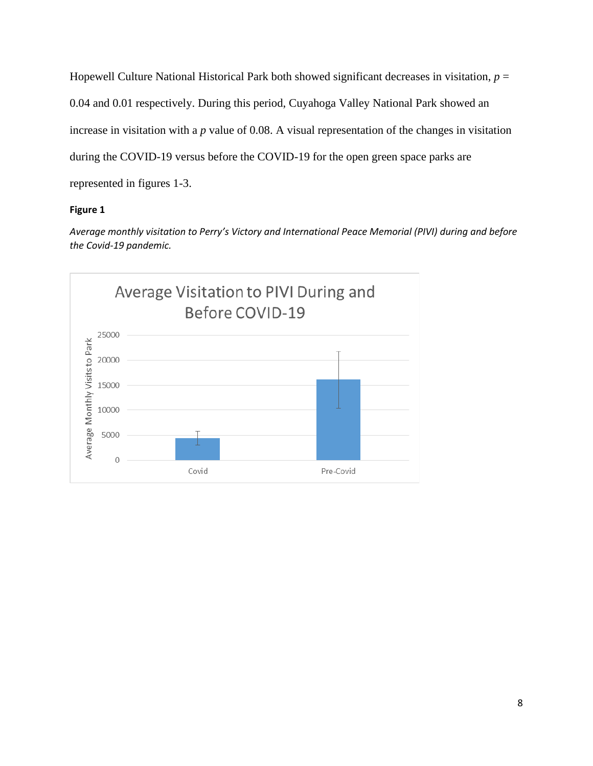Hopewell Culture National Historical Park both showed significant decreases in visitation,  $p =$ 0.04 and 0.01 respectively. During this period, Cuyahoga Valley National Park showed an increase in visitation with a *p* value of 0.08. A visual representation of the changes in visitation during the COVID-19 versus before the COVID-19 for the open green space parks are represented in figures 1-3.

## **Figure 1**

*Average monthly visitation to Perry's Victory and International Peace Memorial (PIVI) during and before the Covid-19 pandemic.* 

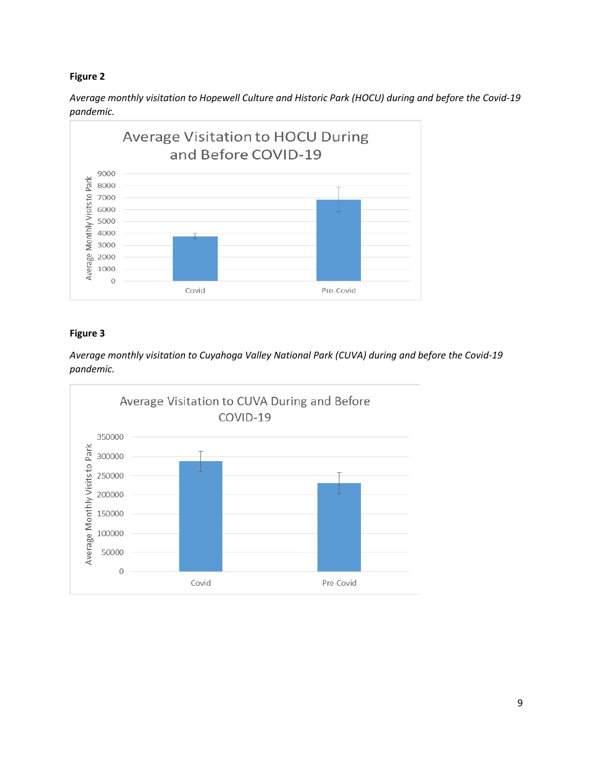## **Figure 2**

*Average monthly visitation to Hopewell Culture and Historic Park (HOCU) during and before the Covid-19 pandemic.* 



## **Figure 3**

*Average monthly visitation to Cuyahoga Valley National Park (CUVA) during and before the Covid-19 pandemic.* 

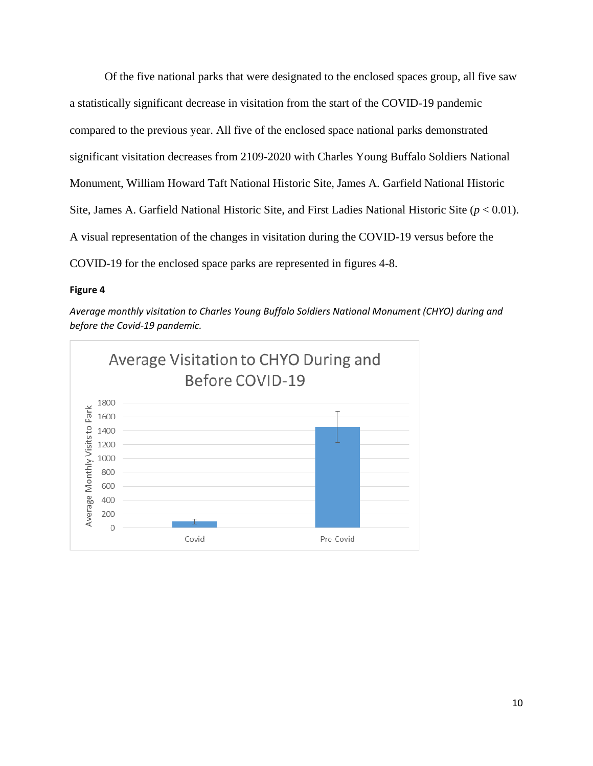Of the five national parks that were designated to the enclosed spaces group, all five saw a statistically significant decrease in visitation from the start of the COVID-19 pandemic compared to the previous year. All five of the enclosed space national parks demonstrated significant visitation decreases from 2109-2020 with Charles Young Buffalo Soldiers National Monument, William Howard Taft National Historic Site, James A. Garfield National Historic Site, James A. Garfield National Historic Site, and First Ladies National Historic Site (*p* < 0.01). A visual representation of the changes in visitation during the COVID-19 versus before the COVID-19 for the enclosed space parks are represented in figures 4-8.

#### **Figure 4**

*Average monthly visitation to Charles Young Buffalo Soldiers National Monument (CHYO) during and before the Covid-19 pandemic.* 

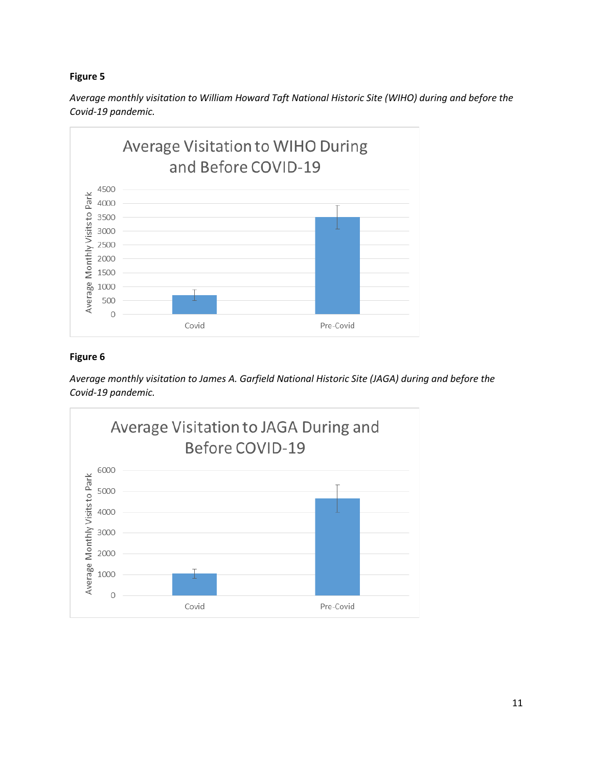## **Figure 5**

*Average monthly visitation to William Howard Taft National Historic Site (WIHO) during and before the Covid-19 pandemic.* 



## **Figure 6**

*Average monthly visitation to James A. Garfield National Historic Site (JAGA) during and before the Covid-19 pandemic.*

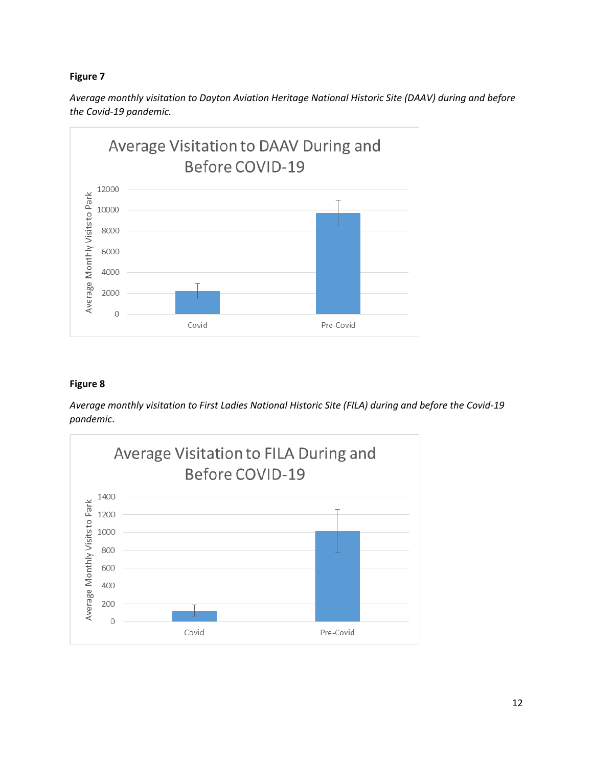## **Figure 7**

*Average monthly visitation to Dayton Aviation Heritage National Historic Site (DAAV) during and before the Covid-19 pandemic.*



## **Figure 8**

*Average monthly visitation to First Ladies National Historic Site (FILA) during and before the Covid-19 pandemic*.

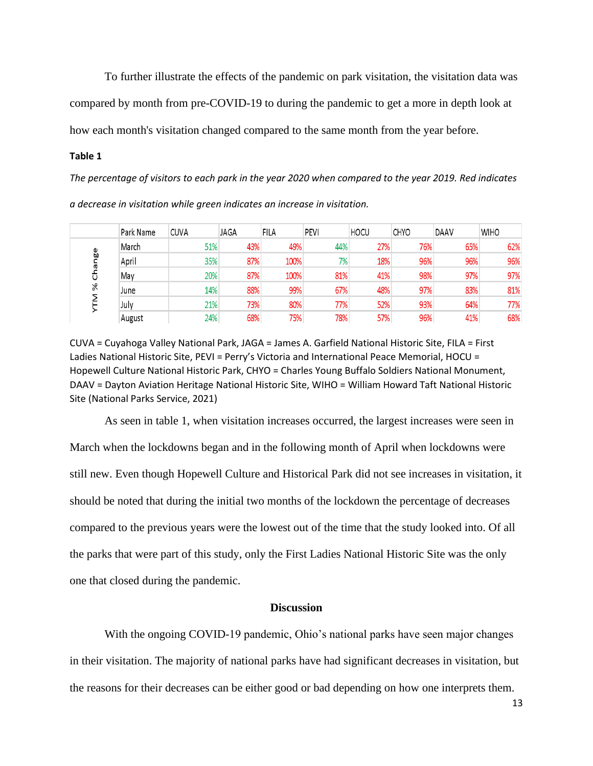To further illustrate the effects of the pandemic on park visitation, the visitation data was compared by month from pre-COVID-19 to during the pandemic to get a more in depth look at how each month's visitation changed compared to the same month from the year before.

#### **Table 1**

*The percentage of visitors to each park in the year 2020 when compared to the year 2019. Red indicates* 

| a decrease in visitation while green indicates an increase in visitation. |  |  |  |  |  |  |  |  |  |
|---------------------------------------------------------------------------|--|--|--|--|--|--|--|--|--|
|---------------------------------------------------------------------------|--|--|--|--|--|--|--|--|--|

|               | Park Name | <b>CUVA</b> | JAGA | <b>FILA</b> | PEVI | <b>HOCU</b> | CHYO | DAAV | <b>WIHO</b> |
|---------------|-----------|-------------|------|-------------|------|-------------|------|------|-------------|
|               | March     | 51%         | 43%  | 49%         | 44%  | 27%         | 76%  | 65%  | 62%         |
| œ<br><b>U</b> | April     | 35%         | 87%  | 100%        | 7%   | 18%         | 96%  | 96%  | 96%         |
|               | May       | 20%         | 87%  | 100%        | 81%  | 41%         | 98%  | 97%  | 97%         |
| $\aleph$      | June      | 14%         | 88%  | 99%         | 67%  | 48%         | 97%  | 83%  | 81%         |
|               | July      | 21%         | 73%  | 80%         | 77%  | 52%         | 93%  | 64%  | 77%         |
|               | August    | 24%         | 68%  | 75%         | 78%  | 57%         | 96%  | 41%  | 68%         |

CUVA = Cuyahoga Valley National Park, JAGA = James A. Garfield National Historic Site, FILA = First Ladies National Historic Site, PEVI = Perry's Victoria and International Peace Memorial, HOCU = Hopewell Culture National Historic Park, CHYO = Charles Young Buffalo Soldiers National Monument, DAAV = Dayton Aviation Heritage National Historic Site, WIHO = William Howard Taft National Historic Site (National Parks Service, 2021)

As seen in table 1, when visitation increases occurred, the largest increases were seen in March when the lockdowns began and in the following month of April when lockdowns were still new. Even though Hopewell Culture and Historical Park did not see increases in visitation, it should be noted that during the initial two months of the lockdown the percentage of decreases compared to the previous years were the lowest out of the time that the study looked into. Of all the parks that were part of this study, only the First Ladies National Historic Site was the only one that closed during the pandemic.

#### **Discussion**

With the ongoing COVID-19 pandemic, Ohio's national parks have seen major changes in their visitation. The majority of national parks have had significant decreases in visitation, but the reasons for their decreases can be either good or bad depending on how one interprets them.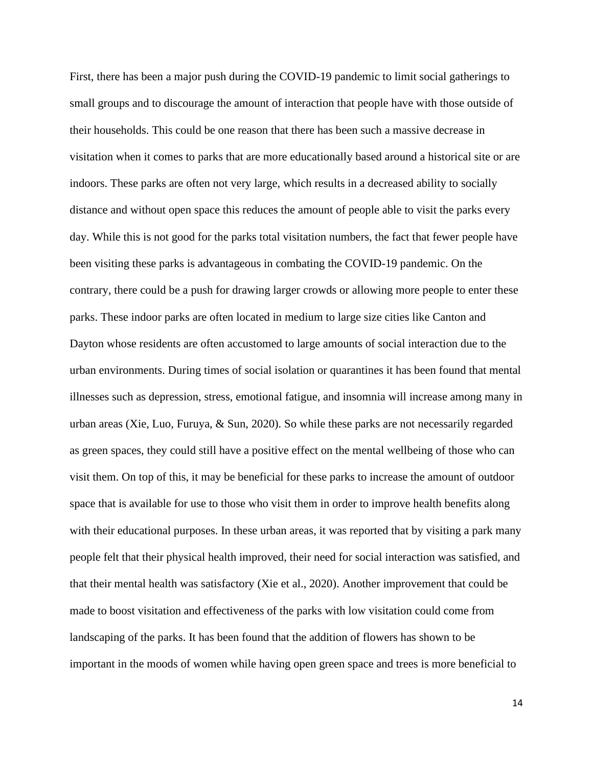First, there has been a major push during the COVID-19 pandemic to limit social gatherings to small groups and to discourage the amount of interaction that people have with those outside of their households. This could be one reason that there has been such a massive decrease in visitation when it comes to parks that are more educationally based around a historical site or are indoors. These parks are often not very large, which results in a decreased ability to socially distance and without open space this reduces the amount of people able to visit the parks every day. While this is not good for the parks total visitation numbers, the fact that fewer people have been visiting these parks is advantageous in combating the COVID-19 pandemic. On the contrary, there could be a push for drawing larger crowds or allowing more people to enter these parks. These indoor parks are often located in medium to large size cities like Canton and Dayton whose residents are often accustomed to large amounts of social interaction due to the urban environments. During times of social isolation or quarantines it has been found that mental illnesses such as depression, stress, emotional fatigue, and insomnia will increase among many in urban areas (Xie, Luo, Furuya, & Sun, 2020). So while these parks are not necessarily regarded as green spaces, they could still have a positive effect on the mental wellbeing of those who can visit them. On top of this, it may be beneficial for these parks to increase the amount of outdoor space that is available for use to those who visit them in order to improve health benefits along with their educational purposes. In these urban areas, it was reported that by visiting a park many people felt that their physical health improved, their need for social interaction was satisfied, and that their mental health was satisfactory (Xie et al., 2020). Another improvement that could be made to boost visitation and effectiveness of the parks with low visitation could come from landscaping of the parks. It has been found that the addition of flowers has shown to be important in the moods of women while having open green space and trees is more beneficial to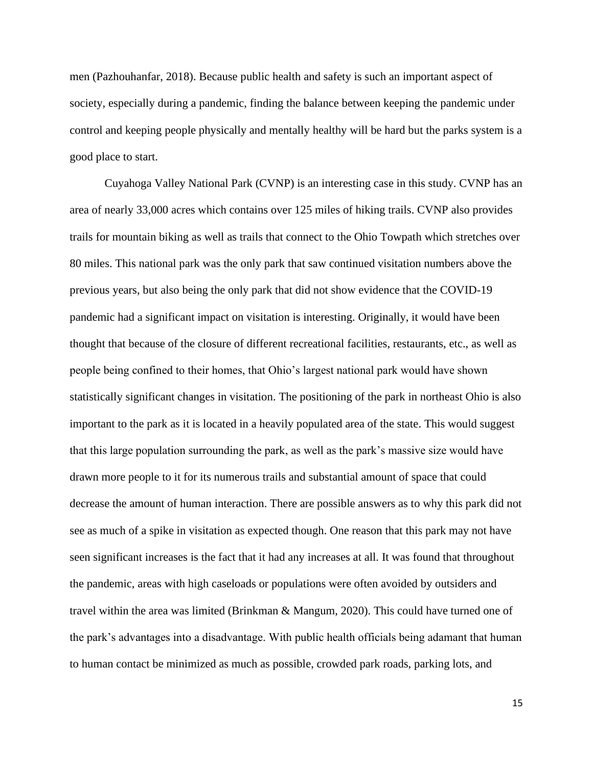men (Pazhouhanfar, 2018). Because public health and safety is such an important aspect of society, especially during a pandemic, finding the balance between keeping the pandemic under control and keeping people physically and mentally healthy will be hard but the parks system is a good place to start.

Cuyahoga Valley National Park (CVNP) is an interesting case in this study. CVNP has an area of nearly 33,000 acres which contains over 125 miles of hiking trails. CVNP also provides trails for mountain biking as well as trails that connect to the Ohio Towpath which stretches over 80 miles. This national park was the only park that saw continued visitation numbers above the previous years, but also being the only park that did not show evidence that the COVID-19 pandemic had a significant impact on visitation is interesting. Originally, it would have been thought that because of the closure of different recreational facilities, restaurants, etc., as well as people being confined to their homes, that Ohio's largest national park would have shown statistically significant changes in visitation. The positioning of the park in northeast Ohio is also important to the park as it is located in a heavily populated area of the state. This would suggest that this large population surrounding the park, as well as the park's massive size would have drawn more people to it for its numerous trails and substantial amount of space that could decrease the amount of human interaction. There are possible answers as to why this park did not see as much of a spike in visitation as expected though. One reason that this park may not have seen significant increases is the fact that it had any increases at all. It was found that throughout the pandemic, areas with high caseloads or populations were often avoided by outsiders and travel within the area was limited (Brinkman & Mangum, 2020). This could have turned one of the park's advantages into a disadvantage. With public health officials being adamant that human to human contact be minimized as much as possible, crowded park roads, parking lots, and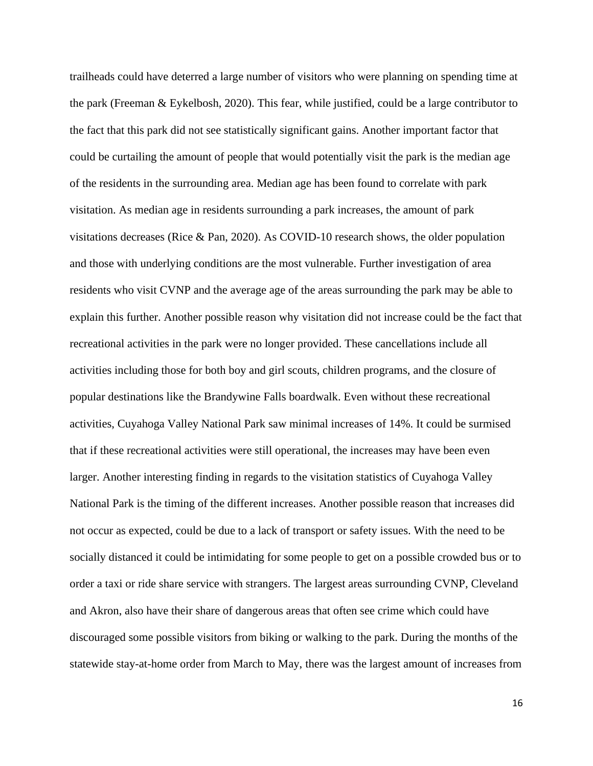trailheads could have deterred a large number of visitors who were planning on spending time at the park (Freeman & Eykelbosh, 2020). This fear, while justified, could be a large contributor to the fact that this park did not see statistically significant gains. Another important factor that could be curtailing the amount of people that would potentially visit the park is the median age of the residents in the surrounding area. Median age has been found to correlate with park visitation. As median age in residents surrounding a park increases, the amount of park visitations decreases (Rice & Pan, 2020). As COVID-10 research shows, the older population and those with underlying conditions are the most vulnerable. Further investigation of area residents who visit CVNP and the average age of the areas surrounding the park may be able to explain this further. Another possible reason why visitation did not increase could be the fact that recreational activities in the park were no longer provided. These cancellations include all activities including those for both boy and girl scouts, children programs, and the closure of popular destinations like the Brandywine Falls boardwalk. Even without these recreational activities, Cuyahoga Valley National Park saw minimal increases of 14%. It could be surmised that if these recreational activities were still operational, the increases may have been even larger. Another interesting finding in regards to the visitation statistics of Cuyahoga Valley National Park is the timing of the different increases. Another possible reason that increases did not occur as expected, could be due to a lack of transport or safety issues. With the need to be socially distanced it could be intimidating for some people to get on a possible crowded bus or to order a taxi or ride share service with strangers. The largest areas surrounding CVNP, Cleveland and Akron, also have their share of dangerous areas that often see crime which could have discouraged some possible visitors from biking or walking to the park. During the months of the statewide stay-at-home order from March to May, there was the largest amount of increases from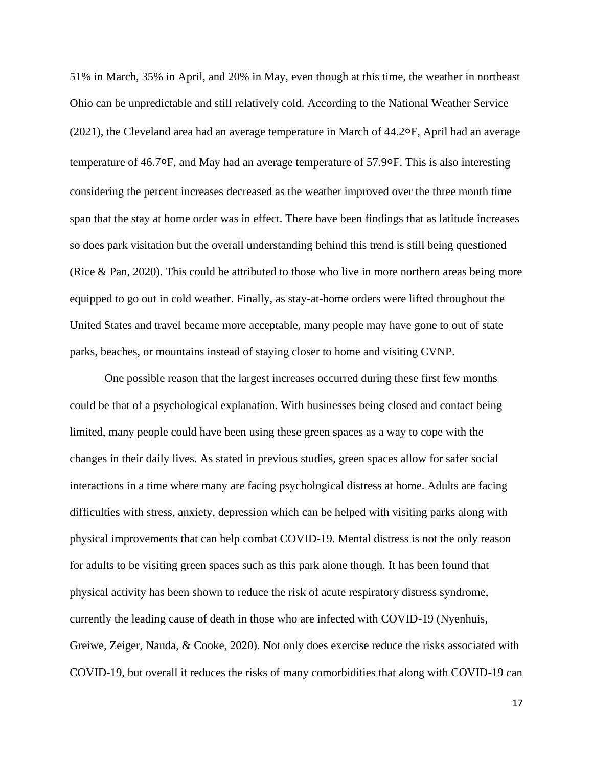51% in March, 35% in April, and 20% in May, even though at this time, the weather in northeast Ohio can be unpredictable and still relatively cold. According to the National Weather Service (2021), the Cleveland area had an average temperature in March of 44.2०F, April had an average temperature of 46.7०F, and May had an average temperature of 57.9०F. This is also interesting considering the percent increases decreased as the weather improved over the three month time span that the stay at home order was in effect. There have been findings that as latitude increases so does park visitation but the overall understanding behind this trend is still being questioned (Rice & Pan, 2020). This could be attributed to those who live in more northern areas being more equipped to go out in cold weather. Finally, as stay-at-home orders were lifted throughout the United States and travel became more acceptable, many people may have gone to out of state parks, beaches, or mountains instead of staying closer to home and visiting CVNP.

One possible reason that the largest increases occurred during these first few months could be that of a psychological explanation. With businesses being closed and contact being limited, many people could have been using these green spaces as a way to cope with the changes in their daily lives. As stated in previous studies, green spaces allow for safer social interactions in a time where many are facing psychological distress at home. Adults are facing difficulties with stress, anxiety, depression which can be helped with visiting parks along with physical improvements that can help combat COVID-19. Mental distress is not the only reason for adults to be visiting green spaces such as this park alone though. It has been found that physical activity has been shown to reduce the risk of acute respiratory distress syndrome, currently the leading cause of death in those who are infected with COVID-19 (Nyenhuis, Greiwe, Zeiger, Nanda, & Cooke, 2020). Not only does exercise reduce the risks associated with COVID-19, but overall it reduces the risks of many comorbidities that along with COVID-19 can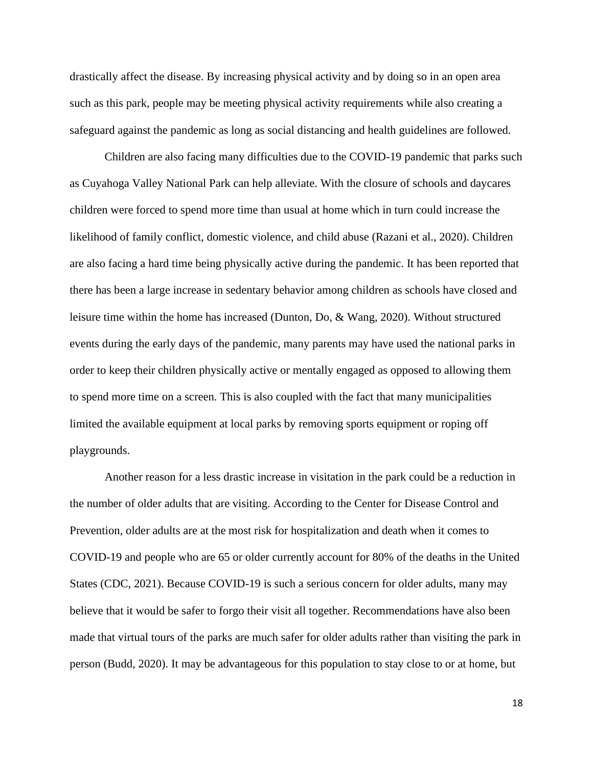drastically affect the disease. By increasing physical activity and by doing so in an open area such as this park, people may be meeting physical activity requirements while also creating a safeguard against the pandemic as long as social distancing and health guidelines are followed.

Children are also facing many difficulties due to the COVID-19 pandemic that parks such as Cuyahoga Valley National Park can help alleviate. With the closure of schools and daycares children were forced to spend more time than usual at home which in turn could increase the likelihood of family conflict, domestic violence, and child abuse (Razani et al., 2020). Children are also facing a hard time being physically active during the pandemic. It has been reported that there has been a large increase in sedentary behavior among children as schools have closed and leisure time within the home has increased (Dunton, Do, & Wang, 2020). Without structured events during the early days of the pandemic, many parents may have used the national parks in order to keep their children physically active or mentally engaged as opposed to allowing them to spend more time on a screen. This is also coupled with the fact that many municipalities limited the available equipment at local parks by removing sports equipment or roping off playgrounds.

Another reason for a less drastic increase in visitation in the park could be a reduction in the number of older adults that are visiting. According to the Center for Disease Control and Prevention, older adults are at the most risk for hospitalization and death when it comes to COVID-19 and people who are 65 or older currently account for 80% of the deaths in the United States (CDC, 2021). Because COVID-19 is such a serious concern for older adults, many may believe that it would be safer to forgo their visit all together. Recommendations have also been made that virtual tours of the parks are much safer for older adults rather than visiting the park in person (Budd, 2020). It may be advantageous for this population to stay close to or at home, but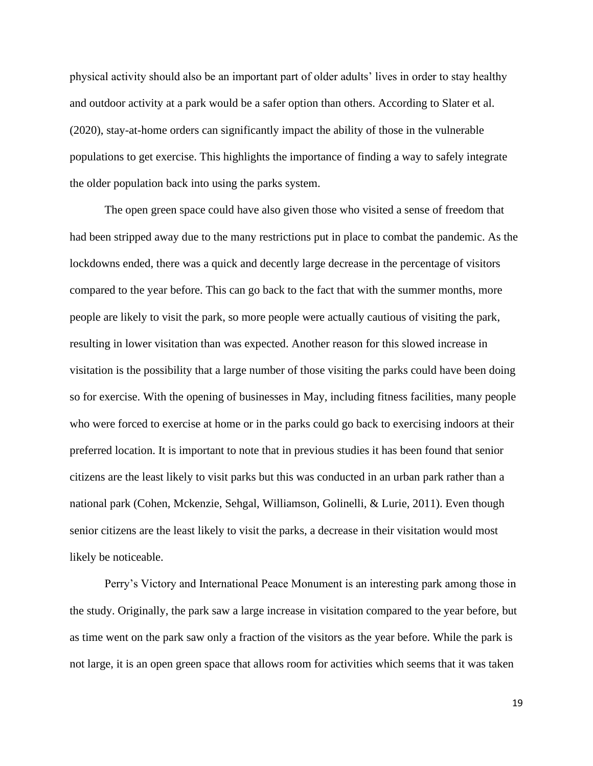physical activity should also be an important part of older adults' lives in order to stay healthy and outdoor activity at a park would be a safer option than others. According to Slater et al. (2020), stay-at-home orders can significantly impact the ability of those in the vulnerable populations to get exercise. This highlights the importance of finding a way to safely integrate the older population back into using the parks system.

The open green space could have also given those who visited a sense of freedom that had been stripped away due to the many restrictions put in place to combat the pandemic. As the lockdowns ended, there was a quick and decently large decrease in the percentage of visitors compared to the year before. This can go back to the fact that with the summer months, more people are likely to visit the park, so more people were actually cautious of visiting the park, resulting in lower visitation than was expected. Another reason for this slowed increase in visitation is the possibility that a large number of those visiting the parks could have been doing so for exercise. With the opening of businesses in May, including fitness facilities, many people who were forced to exercise at home or in the parks could go back to exercising indoors at their preferred location. It is important to note that in previous studies it has been found that senior citizens are the least likely to visit parks but this was conducted in an urban park rather than a national park (Cohen, Mckenzie, Sehgal, Williamson, Golinelli, & Lurie, 2011). Even though senior citizens are the least likely to visit the parks, a decrease in their visitation would most likely be noticeable.

Perry's Victory and International Peace Monument is an interesting park among those in the study. Originally, the park saw a large increase in visitation compared to the year before, but as time went on the park saw only a fraction of the visitors as the year before. While the park is not large, it is an open green space that allows room for activities which seems that it was taken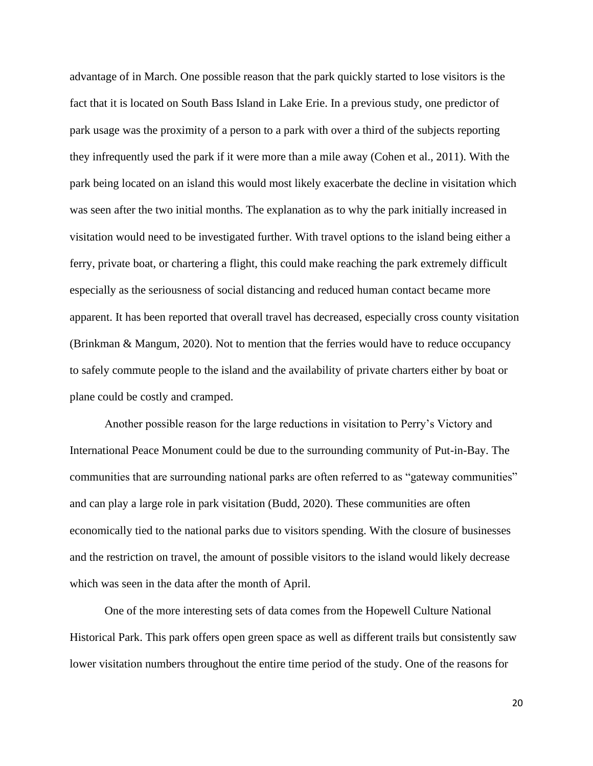advantage of in March. One possible reason that the park quickly started to lose visitors is the fact that it is located on South Bass Island in Lake Erie. In a previous study, one predictor of park usage was the proximity of a person to a park with over a third of the subjects reporting they infrequently used the park if it were more than a mile away (Cohen et al., 2011). With the park being located on an island this would most likely exacerbate the decline in visitation which was seen after the two initial months. The explanation as to why the park initially increased in visitation would need to be investigated further. With travel options to the island being either a ferry, private boat, or chartering a flight, this could make reaching the park extremely difficult especially as the seriousness of social distancing and reduced human contact became more apparent. It has been reported that overall travel has decreased, especially cross county visitation (Brinkman & Mangum, 2020). Not to mention that the ferries would have to reduce occupancy to safely commute people to the island and the availability of private charters either by boat or plane could be costly and cramped.

Another possible reason for the large reductions in visitation to Perry's Victory and International Peace Monument could be due to the surrounding community of Put-in-Bay. The communities that are surrounding national parks are often referred to as "gateway communities" and can play a large role in park visitation (Budd, 2020). These communities are often economically tied to the national parks due to visitors spending. With the closure of businesses and the restriction on travel, the amount of possible visitors to the island would likely decrease which was seen in the data after the month of April.

One of the more interesting sets of data comes from the Hopewell Culture National Historical Park. This park offers open green space as well as different trails but consistently saw lower visitation numbers throughout the entire time period of the study. One of the reasons for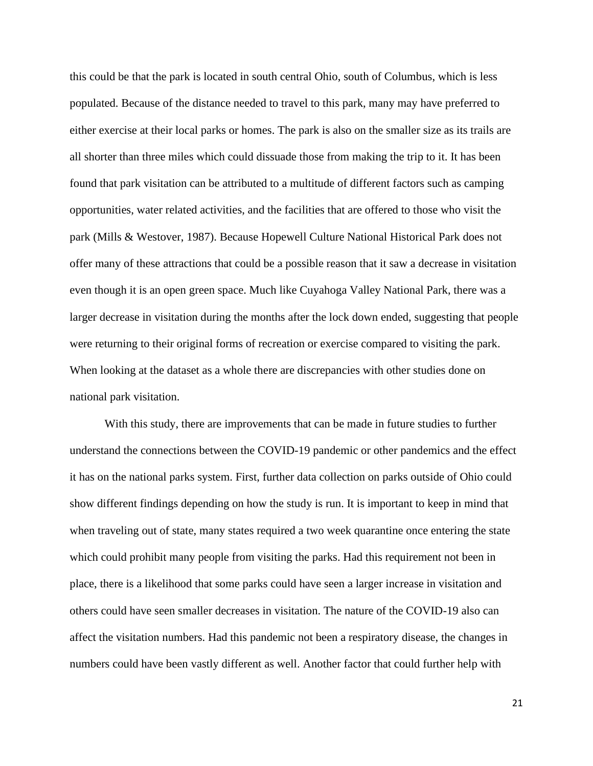this could be that the park is located in south central Ohio, south of Columbus, which is less populated. Because of the distance needed to travel to this park, many may have preferred to either exercise at their local parks or homes. The park is also on the smaller size as its trails are all shorter than three miles which could dissuade those from making the trip to it. It has been found that park visitation can be attributed to a multitude of different factors such as camping opportunities, water related activities, and the facilities that are offered to those who visit the park (Mills & Westover, 1987). Because Hopewell Culture National Historical Park does not offer many of these attractions that could be a possible reason that it saw a decrease in visitation even though it is an open green space. Much like Cuyahoga Valley National Park, there was a larger decrease in visitation during the months after the lock down ended, suggesting that people were returning to their original forms of recreation or exercise compared to visiting the park. When looking at the dataset as a whole there are discrepancies with other studies done on national park visitation.

With this study, there are improvements that can be made in future studies to further understand the connections between the COVID-19 pandemic or other pandemics and the effect it has on the national parks system. First, further data collection on parks outside of Ohio could show different findings depending on how the study is run. It is important to keep in mind that when traveling out of state, many states required a two week quarantine once entering the state which could prohibit many people from visiting the parks. Had this requirement not been in place, there is a likelihood that some parks could have seen a larger increase in visitation and others could have seen smaller decreases in visitation. The nature of the COVID-19 also can affect the visitation numbers. Had this pandemic not been a respiratory disease, the changes in numbers could have been vastly different as well. Another factor that could further help with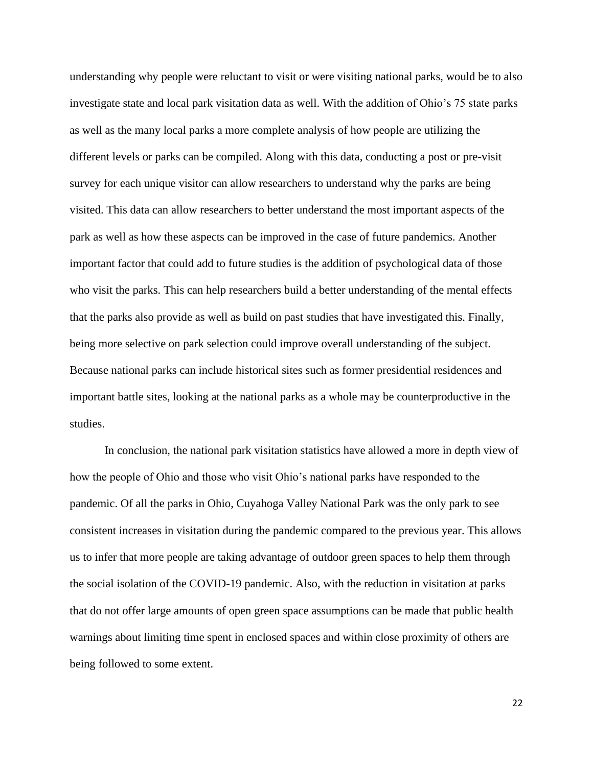understanding why people were reluctant to visit or were visiting national parks, would be to also investigate state and local park visitation data as well. With the addition of Ohio's 75 state parks as well as the many local parks a more complete analysis of how people are utilizing the different levels or parks can be compiled. Along with this data, conducting a post or pre-visit survey for each unique visitor can allow researchers to understand why the parks are being visited. This data can allow researchers to better understand the most important aspects of the park as well as how these aspects can be improved in the case of future pandemics. Another important factor that could add to future studies is the addition of psychological data of those who visit the parks. This can help researchers build a better understanding of the mental effects that the parks also provide as well as build on past studies that have investigated this. Finally, being more selective on park selection could improve overall understanding of the subject. Because national parks can include historical sites such as former presidential residences and important battle sites, looking at the national parks as a whole may be counterproductive in the studies.

In conclusion, the national park visitation statistics have allowed a more in depth view of how the people of Ohio and those who visit Ohio's national parks have responded to the pandemic. Of all the parks in Ohio, Cuyahoga Valley National Park was the only park to see consistent increases in visitation during the pandemic compared to the previous year. This allows us to infer that more people are taking advantage of outdoor green spaces to help them through the social isolation of the COVID-19 pandemic. Also, with the reduction in visitation at parks that do not offer large amounts of open green space assumptions can be made that public health warnings about limiting time spent in enclosed spaces and within close proximity of others are being followed to some extent.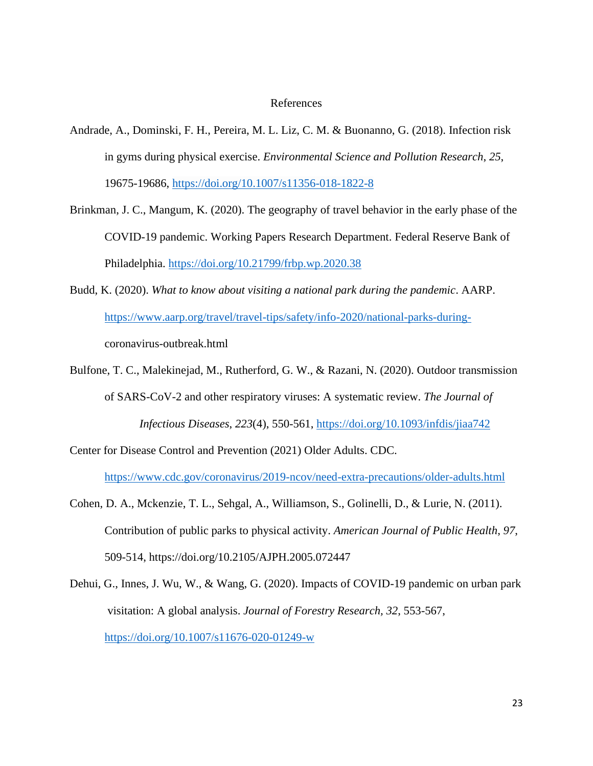#### References

- Andrade, A., Dominski, F. H., Pereira, M. L. Liz, C. M. & Buonanno, G. (2018). Infection risk in gyms during physical exercise. *Environmental Science and Pollution Research*, *25*, 19675-19686, [https://doi.org/10.1007/s11356-018-1822-8](about:blank)
- Brinkman, J. C., Mangum, K. (2020). The geography of travel behavior in the early phase of the COVID-19 pandemic. Working Papers Research Department. Federal Reserve Bank of Philadelphia. [https://doi.org/10.21799/frbp.wp.2020.38](about:blank)
- Budd, K. (2020). *What to know about visiting a national park during the pandemic*. AARP. [https://www.aarp.org/travel/travel-tips/safety/info-2020/national-parks-during](about:blank)coronavirus-outbreak.html
- Bulfone, T. C., Malekinejad, M., Rutherford, G. W., & Razani, N. (2020). Outdoor transmission of SARS-CoV-2 and other respiratory viruses: A systematic review. *The Journal of Infectious Diseases*, *223*(4), 550-561, [https://doi.org/10.1093/infdis/jiaa742](about:blank)
- Center for Disease Control and Prevention (2021) Older Adults. CDC. [https://www.cdc.gov/coronavirus/2019-ncov/need-extra-precautions/older-adults.html](about:blank)
- Cohen, D. A., Mckenzie, T. L., Sehgal, A., Williamson, S., Golinelli, D., & Lurie, N. (2011). Contribution of public parks to physical activity. *American Journal of Public Health*, *97*, 509-514, [https://doi.org/10.2105/AJPH.2005.072447](about:blank)
- Dehui, G., Innes, J. Wu, W., & Wang, G. (2020). Impacts of COVID-19 pandemic on urban park visitation: A global analysis. *Journal of Forestry Research, 32*, 553-567, [https://doi.org/10.1007/s11676-020-01249-w](about:blank)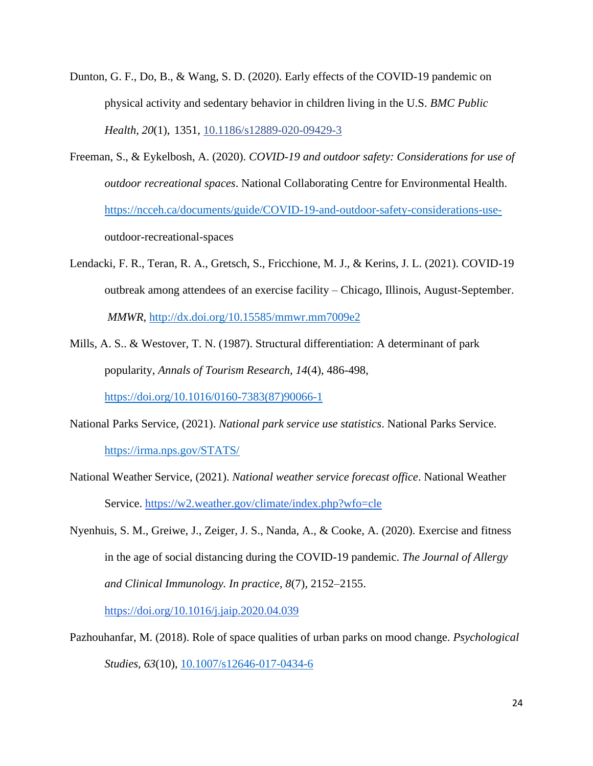- Dunton, G. F., Do, B., & Wang, S. D. (2020). Early effects of the COVID-19 pandemic on physical activity and sedentary behavior in children living in the U.S. *BMC Public Health, 20*(1), 1351, [10.1186/s12889-020-09429-3](about:blank)
- Freeman, S., & Eykelbosh, A. (2020). *COVID-19 and outdoor safety: Considerations for use of outdoor recreational spaces*. National Collaborating Centre for Environmental Health. [https://ncceh.ca/documents/guide/COVID-19-and-outdoor-safety-considerations-use](about:blank)outdoor-recreational-spaces
- Lendacki, F. R., Teran, R. A., Gretsch, S., Fricchione, M. J., & Kerins, J. L. (2021). COVID-19 outbreak among attendees of an exercise facility – Chicago, Illinois, August-September. *MMWR*, [http://dx.doi.org/10.15585/mmwr.mm7009e2](about:blank)
- Mills, A. S.. & Westover, T. N. (1987). Structural differentiation: A determinant of park popularity, *Annals of Tourism Research, 14*(4), 486-498,

[https://doi.org/10.1016/0160-7383\(87\)90066-1](about:blank)

- National Parks Service, (2021). *National park service use statistics*. National Parks Service. [https://irma.nps.gov/STATS/](about:blank)
- National Weather Service, (2021). *National weather service forecast office*. National Weather Service. [https://w2.weather.gov/climate/index.php?wfo=cle](about:blank)
- Nyenhuis, S. M., Greiwe, J., Zeiger, J. S., Nanda, A., & Cooke, A. (2020). Exercise and fitness in the age of social distancing during the COVID-19 pandemic. *The Journal of Allergy and Clinical Immunology. In practice, 8*(7), 2152–2155.

[https://doi.org/10.1016/j.jaip.2020.04.039](about:blank)

Pazhouhanfar, M. (2018). Role of space qualities of urban parks on mood change. *Psychological Studies, 63*(10), [10.1007/s12646-017-0434-6](about:blank)